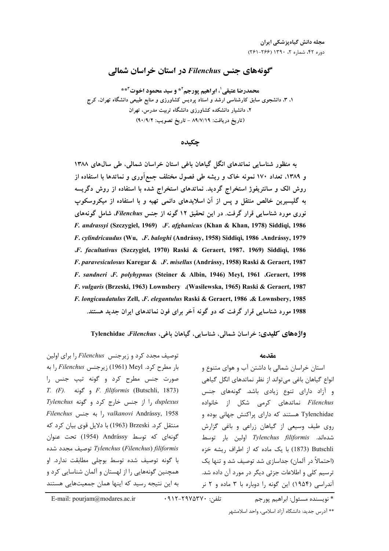# گونههای حنس Filenchus در استان خراسان شمالی

محمدرضا عتيقي <sup>1</sup>، ابراهيم يورجم<sup>2\*</sup> و سيد محمود اخوت<sup>4\*\*</sup> ۱. ۳. دانشجوی سابق کارشناسی ارشد و استاد پردیس کشاورزی و منابع طبیعی دانشگاه تهران. کرج ۲، دانشیار دانشکده کشاورزی دانشگاه تربیت مدرس، تهران (تاريخ دريافت: ٨٩/٧/١٩ - تاريخ تصويب: ٩٠/٩/٢)

جكىدە

به منظور شناسایی نماتدهای انگل گیاهان باغی استان خراسان شمالی، طی سالهای ۱۳۸۸ و ۱۳۸۹، تعداد ۱۷۰ نمونه خاک و ریشه طی فصول مختلف جمعآوری و نماتدها با استفاده از روش الک و سانتریفوژ استخراج گردید. نماتدهای استخراج شده با استفاده از روش دگریسه به گلیسیرین خالص منتقل و پس از آن اسلایدهای دائمی تهیه و با استفاده از میکروسکوپ نوری مورد شناسایی قرار گرفت. در این تحقیق ۱۲ گونه از جنس Filenchus، شامل گونههای F. andrassyi (Szczygiel, 1969) J.F. afghanicus (Khan & Khan, 1978) Siddiqi, 1986 F. cylindricaudus (Wu, F. baloghi (Andrássy, 1958) Siddiqi, 1986 Andrássy, 1979 J. facultativus (Szczygiel, 1970) Raski & Geraert, 1987, 1969) Siddiqi, 1986 F. paravesiculosus Karegar & F. misellus (Andrássy, 1958) Raski & Geraert, 1987 F. sandneri .F. polyhypnus (Steiner & Albin, 1946) Meyl, 1961 .Geraert, 1998 F. vulgaris (Brzeski, 1963) Lownsbery (Wasilewska, 1965) Raski & Geraert, 1987 F. longicaudatulus Zell, J. elegantulus Raski & Geraert, 1986 & Lownsbery, 1985 1988 مورد شناسایی قرار گرفت که دو گونه آخر برای فون نماتدهای ایران جدید هستند.

واژ دهای کلیدی: خراسان شمالی، شناسایی، گیاهان باغی، Tylenchidae *Filenchus* 

#### مقدمه

استان خراسان شمالی با داشتن آب و هوای متنوع و انواع گیاهان باغی می تواند از نظر نماتدهای انگل گیاهی و آزاد دارای تنوع زیادی باشد. گونههای جنس Filenchus نماتدهای کرمی شکل از خانواده Tylenchidae هستند که دارای پراکنش جهانی بوده و روی طیف وسیعی از گیاهان زراعی و باغی گزارش شدهاند. Tylenchus filiformis اولین بار توسط Butschli (1873) با یک ماده که از اطراف ریشه خزه (احتمالاً د, آلمان) جداسازی شد توصیف شد و تنها یک ترسیم کلی و اطلاعات جزئی دیگر در مورد آن داده شد. آندراسی (۱۹۵۴) این گونه را دوباره با ۳ ماده و ۲ نر

توصیف مجدد کرد و زیرجنس Filenchus را برای اولین بار مطرح کرد. Filenchus زیرجنس Filenchus را به صورت جنس مطرح کرد و گونه تيپ جنس را T. (F). و گونه F. filiformis (Butschli, 1873) Iy duplexus را از جنس خارج کرد و گونه Tylenchus Filenchus را به جنس, valkanovi Andrássy, 1958 منتقل كرد. Brzeski (1963) با دلايل قوى بيان كرد كه گونهای که توسط Andrássy (1954) تحت عنوان Tylenchus (Filenchus) filiformis توصيف مجدد شده با گونه توصیف شده توسط بوچلی مطابقت ندارد. او همچنین گونههایی را از لهستان و آلمان شناسایی کرد و به این نتیجه ,سید که اینها همان جمعیتهایی هستند

\* نويسنده مسئول: ابراهيم يورجم

## E-mail: pourjam@modares.ac.ir

\*\* آدرس جديد: دانشگاه آزاد اسلامي، واحد اسلامشهر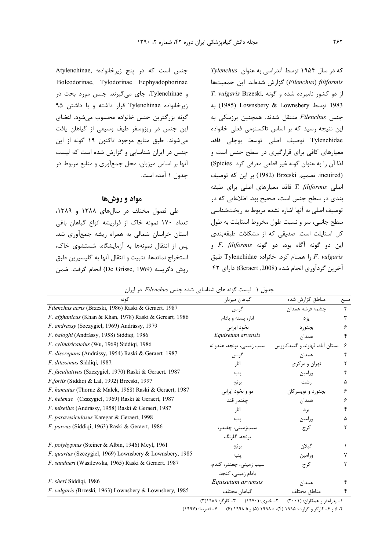جنس است که در پنج زیرخانواده؛ Atylenchinae, Boleodorinae, Tylodorinae Ecphyadophorinae و Tylenchinae، جای میگیرند. جنس مورد بحث در زیرخانواده Tylenchinae قرار داشته و با داشتن ۹۵ گونه بزرگترین جنس خانواده محسوب میشود. اعضای این جنس در ریزوسفر طیف وسیعی از گیاهان یافت می شوند. طبق منابع موجود تاکنون ۱۹ گونه از این جنس در ایران شناسایی و گزارش شده است که لیست آنها بر اساس میزبان، محل جمعآوری و منابع مربوط در جدول ۱ آمده است.

## مواد و روشها

طی فصول مختلف در سالهای ۱۳۸۸ و ۱۳۸۹، تعداد ١٧٠ نمونه خاک از فراريشه انواع گياهان باغي استان خراسان شمالی به همراه ریشه جمعآوری شد. پس از انتقال نمونهها به آزمایشگاه، شستشوی خاک، استخراج نماتدها، تثبيت و انتقال آنها به گليسيرين طبق روش دگريسه (De Grisse, 1969) انجام گرفت. ضمن

 $I$ ylenchus (توسط آندراسی به عنوان  $I$ ylenchus Filenchus) filiformis گزارش شدهاند. این جمعیتها I. vulgaris Brzeski, دو کشور نامبرده شده و گونه 1983 توسط Lownsbery & Lownsbery به جنس Filenchus منتقل شدند. همچنین برزسکی به این نتیجه رسید که بر اساس تاکسنومی فعلی خانواده Tylenchidae توصيف اصلي توسط بوچلى فاقد معیارهای کافی برای قرارگیری در سطح جنس است و لذا أن را به عنوان گونه غير قطعي معرفي كرد Spicies) incuired) بر این که توصیف. Brzeski بر این که توصیف اصلی T. filiformis فاقد معیارهای اصلی برای طبقه بندی در سطح جنس است، صحیح بود. اطلاعاتی که در توصيف اصلي به آنها اشاره نشده مربوط به ريختشناسي سطح جانبی، سر و نسبت طول مخروط استایلت به طول کل استایلت است. صدیقی که از مشکلات طبقهبندی این دو گونه آگاه بود، دو گونه F. filiformis و F. vulgaris را همنام كرد. خانواده Tylenchidae طبق آخرین گردآوری انجام شده (2008, Geraert) دارای ۴۲

جدول ١- ليست گونه هاى شناسايى شده جنس Filenchus در ايران

| گونه                                                            | گیاهان میزبان                                              | مناطق گزارش شده                | منبع |
|-----------------------------------------------------------------|------------------------------------------------------------|--------------------------------|------|
| Filenchus acris (Brzeski, 1986) Raski & Geraert, 1987           | گراس                                                       | چشمه فرشه همدان                | ۴    |
| F. afghanicus (Khan & Khan, 1978) Raski & Gereart, 1986         | انار، پسته و بادام                                         | یز د                           | ٣    |
| F. andrassy (Szczygiel, 1969) Andrássy, 1979                    | نخود ایرانی                                                | بجنور د                        | ۶    |
| F. baloghi (Andrássy, 1958) Siddiqi, 1986                       | Equisetum arvensis                                         | همدان                          |      |
| F. cylindricaudus (Wu, 1969) Siddiqi, 1986                      | سيب زميني، يونجه، هندوانه                                  | بستان آباد، قهاوند و گنبدکاووس | ۶    |
| F. discrepans (Andrássy, 1954) Raski & Geraert, 1987            | گراس                                                       | همدان                          | ۴    |
| F. ditissimus Siddiqi, 1987.                                    | انا,                                                       | تهران و مرکزی                  | ۲    |
| F. facultativus (Szczygiel, 1970) Raski & Geraert, 1987         | ينبه                                                       | ورامين                         | ۴    |
| F.fortis (Siddiqi & Lal, 1992) Brzeski, 1997                    | برنج                                                       | , شت                           | ۵    |
| F. hamatus (Thorne & Malek, 1968) Raski & Geraert, 1987         | مو و نخود ايراني                                           | بجنورد و تويسركان              | ۶    |
| F. helenae (Czszygiel, 1969) Raski & Geraert, 1987              | چغندر قند                                                  | همدان                          | ۶    |
| F. misellus (Andrássy, 1958) Raski & Geraert, 1987              | انار                                                       | یز د                           | ۴    |
| F. paravesiculosus Karegar & Geraert, 1998                      | ينبه                                                       | ورامين                         | Δ    |
| F. parvus (Siddiqi, 1963) Raski & Geraert, 1986                 | سيبزميني، چغندر،                                           | کر ج                           | ٢    |
|                                                                 | يونجه، گلرنگ                                               |                                |      |
| F. polyhypnus (Steiner & Albin, 1946) Meyl, 1961                | برنج                                                       | گيلان                          |      |
| <i>F. quartus</i> (Szczygiel, 1969) Lownsbery & Lownsbery, 1985 | ينبه                                                       | ورامين                         |      |
| F. sandneri (Wasilewska, 1965) Raski & Geraert, 1987            | سیب زمینی، چغندر، گندم،                                    | كرج                            | ٢    |
|                                                                 | بادام زمینی، کنجد                                          |                                |      |
| F. sheri Siddiqi, 1986                                          | Equisetum arvensis                                         | همدان                          |      |
| F. vulgaris (Brzeski, 1963) Lownsbery & Lownsbery, 1985         | گیاهان مختلف                                               | مناطق مختلف                    | ۴    |
|                                                                 | $w \wedge n \wedge n = w$<br>$\lambda$ $\lambda$ $\lambda$ | $\sim$ $\sim$ $\sim$           |      |

۱- يدرامفر و همكاران؛ (۲۰۰۱) ۲- خيري: (۱۹۷۰) ۳- كارگر: ۱۹۸۹(۳)

۴، ۵ و ۶– کارگر و گرارت: ۱۹۹۵ (۴)، ۱۹۹۸ (۵) و ط ۱۹۹۸ (۶) ۷– قنبرنیا؛ (۱۹۹۷)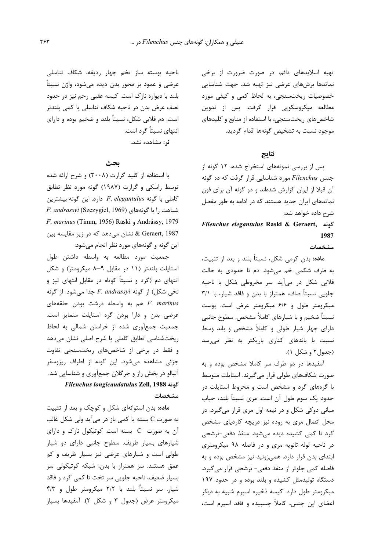تهیه اسلایدهای دائم، در صورت ضرورت از برخی نماتدها برشهای عرضی نیز تهیه شد. جهت شناسایی خصوصیات ریختسنجی، به لحاظ کمی و کیفی مورد مطالعه میکروسکوپی قرار گرفت. پس از تدوین شاخصهای ریختسنجی، با استفاده از منابع و کلیدهای موجود نسبت به تشخيص گونهها اقدام گرديد.

# نتاتج

پس از بررسی نمونههای استخراج شده، ۱۲ گونه از جنس Filenchus مورد شناسایی قرار گرفت که ده گونه آن قبلا از ایران گزارش شدهاند و دو گونه آن برای فون نماتدهای ایران جدید هستند که در ادامه به طور مفصل شرح داده خواهد شد:

# Filenchus elegantulus Raski & Geraert, كونه 1987

#### مشخصات

ماده: بدن کرمی شکل، نسبتاً بلند و بعد از تثبیت، به طرف شکمی خم میشود. دم تا حدودی به حالت قلابی شکل در میآید. سر مخروطی شکل با ناحیه جلویی نسبتاً صاف، همتراز با بدن و فاقد شیار، با ۳/۱ میکرومتر طول و ۶۱۶ میکرومتر عرض است. پوست نسبتاً ضخیم و با شیارهای کاملاً مشخص. سطوح جانبی دارای چهار شیار طولی و کاملاً مشخص و باند وسط نسبت با باندهای کنا<sub>د</sub>ی باریکتر به نظر می<sub>،د</sub>سد (جدول۲ و شکل ۱).

آمفیدها در دو طرف سر کاملا مشخص بوده و به صورت شکافهای طولی قرار میگیرند. استایلت متوسط با گرههای گرد و مشخص است و مخروط استایلت در حدود یک سوم طول آن است. مری نسبتاً بلند، حباب میانی دوکی شکل و در نیمه اول مری قرار میگیرد. در محل اتصال مری به روده نیز دریچه کاردیای مشخص گرد تا کمی کشیده دیده می شود. منفذ دفعی-ترشحی در ناحیه لوله ثانویه مری و در فاصله ۹۸ میکرومتری ابتدای بدن قرار دارد. همی;ونید نیز مشخص بوده و به فاصله کمی جلوتر از منفذ دفعی- ترشحی قرار می گیرد. دستگاه تولیدمثل کشیده و بلند بوده و در حدود ۱۹۷ میکرومتر طول دارد. کیسه ذخیره اسیرم شبیه به دیگر اعضای این جنس، کاملاً چسبیده و فاقد اسپرم است،

ناحیه پوسته ساز تخم چهار ردیفه، شکاف تناسلی عرضی و عمود بر محور بدن دیده میشود، واژن نسبتاً بلند با دیواره نازک است. کیسه عقبی رحم نیز در حدود نصف عرض بدن در ناحیه شکاف تناسلی یا کمی بلندتر است. دم قلابی شکل، نسبتاً بلند و ضخیم بوده و دارای انتهای نسبتاً گرد است.

نر: مشاهده نشد.

# ىحث

با استفاده از کلید گرارت (۲۰۰۸) و شرح ارائه شده توسط راسكي وكرارت (١٩٨٧) گونه مورد نظر تطابق  $C$ کاملی با گونه F. elegantulus دارد. این گونه بیشترین F. andrassyi (Szczygiel, 1969) و F. andrassyi (Szczygiel, 1969) F. marinus (Timm, 1956) Raski , Andrássy, 1979 & Geraert, 1987 نشان می،دهد که در زیر مقایسه بین این گونه و گونههای مورد نظر انجام میشود:

جمعیت مورد مطالعه به واسطه داشتن طول استایلت بلندتر (١١ در مقابل ٩-٨ میکرومتر) و شکل انتهای دم (گرد و نسبتاً کوتاه در مقابل انتهای تیز و  $F.$  andrassyi أز گونه F. andrassyi جدا می شود. از گونه هم به واسطه درشت بودن حلقههای F. marinus عرضی بدن و دارا بودن گره استایلت متمایز است. جمعیت جمعآوری شده از خراسان شمالی به لحاظ ریختشناسی تطابق کاملی با شرح اصلی نشان میدهد و فقط در برخی از شاخصهای ریختسنجی تفاوت جزئی مشاهده میشود. این گونه از اطراف ریزوسفر آلبالو در بخش راز و جرگلان جمعآوری و شناسایی شد. Filenchus longicaudatulus Zell, 1988 مشخصات

ماده: بدن استوانهای شکل و کوچک و بعد از تثبیت به صورت C بسته یا کمی باز در میآید ولی شکل غالب آن به صورت C بسته است. کوتیکول نازک و دارای شیارهای بسیار ظریف. سطوح جانبی دارای دو شیار طولی است و شیارهای عرضی نیز بسیار ظریف و کم عمق هستند. سر همتراز با بدن، شبکه کوتیکولی سر بسيار ضعيف، ناحيه جلويي سر تخت تا كمي گرد و فاقد شیار. سر نسبتاً بلند با ۲/۲ میکرومتر طول و ۴/۳ میکرومتر عرض (جدول ۳ و شکل ۲). آمفیدها بسیار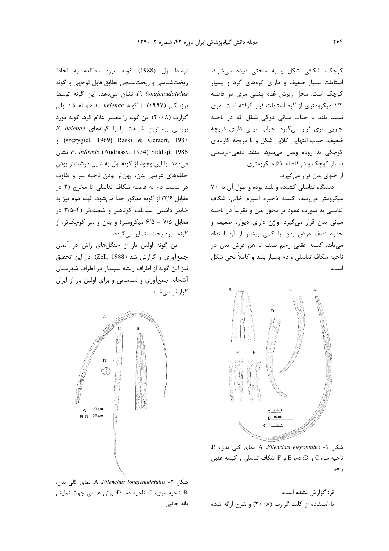کوچک، شکافی شکل و به سختی دیده میشوند. استایلت بسیار ضعیف و دارای گرههای گرد و بسیار کوچک است. محل ریزش غده پشتی مری در فاصله ١/٢ ميكرومترى از گره استايلت قرار گرفته است. مرى نسبتاً بلند با حباب میانی دوکی شکل که در ناحیه جلویی مری قرار میگیرد. حباب میانی دارای دریچه ضعیف، حباب انتهایی گلابی شکل و با دریچه کاردیای کوچکی به روده وصل میشود. منفذ دفعی-ترشحی بسیار کوچک و در فاصله ۵۱ میکرومتری از جلوی بدن قرار میگیرد.

دستگاه تناسلی کشیده و بلند بوده و طول آن به ٧٠ میکرومتر میرسد، کیسه ذخیره اسپرم خالی، شکاف تناسلي به صورت عمود بر محور بدن و تقريباً در ناحيه میانی بدن قرار میگیرد. واژن دارای دیواره ضعیف و حدود نصف عرض بدن یا کمی بیشتر از آن امتداد می یابد. کیسه عقبی رحم نصف تا هم عرض بدن در ناحيه شكاف تناسلي و دم بسيار بلند و كاملاً نخي شكل است.



شکل A :Filenchus elegantulus - ۱ نمای کلی بدن، B  $C$ ناحيه سر، C و D: دم، E و F: شكاف تناسلي و كيسه عقبي رحم

نر: گزارش نشده است. با استفاده از کلید گرارت (۲۰۰۸) و شرح ارائه شده

توسط زل (1988) گونه مورد مطالعه به لحاظ ریختشناسی و ریختسنجی تطابق قابل توجهی با گونه نشان می دهد. این گونه توسط F. longicaudatulus برزسكي (١٩٩٧) با گونه F. helenae همنام شد ولي گرارت (۲۰۰۸) این گونه را معتبر اعلام کرد. گونه مورد F. helenae بررسی بیشترین شباهت را با گونههای eszczygiel, 1969) Raski & Geraert, 1987 نشان F. infirmis (Andrássy, 1954) Siddiqi, 1986 می دهد. با این وجود از گونه اول به دلیل درشتتر بودن حلقههای عرضی بدن، پهنتر بودن ناحیه سر و تفاوت در نسبت دم به فاصله شکاف تناسلی تا مخرج (۲ در مقابل ۲/۶) از گونه مذکور جدا میشود. گونه دوم نیز به خاطر داشتن استایلت کوتاهتر و ضعیفتر (۴-۳/۵ در مقابل ۷/۵ - ۶/۵ میکرومتر) و بدن و سر کوچکتر، از گونه مورد بحث متمایز می گردد.

این گونه اولین بار از جنگلهای راش در آلمان جمعآوري و گزارش شد (Zell, 1988). در اين تحقيق نيز اين گونه از اطراف ريشه سييدار در اطراف شهرستان آشخانه جمعآوری و شناسایی و برای اولین بار از ایران گزارش می شود.



شكل A :Filenchus longicaudatulus - ٢- نماي كلي بدن، B: ناحیه مری، C: ناحیه دم، D: برش عرضی جهت نمایش باند جانبي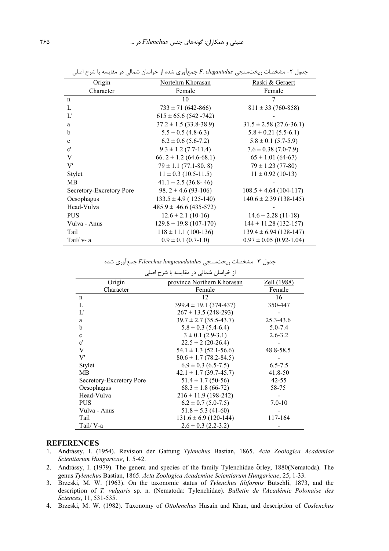| Origin                   | Nortehrn Khorasan            | Raski & Geraert             |
|--------------------------|------------------------------|-----------------------------|
| Character                | Female                       | Female                      |
| n                        | 10                           |                             |
| L                        | $733 \pm 71 (642 - 866)$     | $811 \pm 33$ (760-858)      |
| L'                       | $615 \pm 65.6$ (542 -742)    |                             |
| a                        | $37.2 \pm 1.5 (33.8 - 38.9)$ | $31.5 \pm 2.58$ (27.6-36.1) |
| b                        | $5.5 \pm 0.5$ (4.8-6.3)      | $5.8 \pm 0.21$ (5.5-6.1)    |
| $\mathbf{c}$             | $6.2 \pm 0.6$ (5.6-7.2)      | $5.8 \pm 0.1$ (5.7-5.9)     |
| $\mathbf{c}^{\prime}$    | $9.3 \pm 1.2$ (7.7-11.4)     | $7.6 \pm 0.38$ (7.0-7.9)    |
| V                        | 66. $2 \pm 1.2$ (64.6-68.1)  | $65 \pm 1.01$ (64-67)       |
| V'                       | $79 \pm 1.1$ (77.1-80.8)     | $79 \pm 1.23$ (77-80)       |
| Stylet                   | $11 \pm 0.3$ (10.5-11.5)     | $11 \pm 0.92$ (10-13)       |
| MВ                       | $41.1 \pm 2.5$ (36.8-46)     |                             |
| Secretory-Excretory Pore | 98. $2 \pm 4.6$ (93-106)     | $108.5 \pm 4.64$ (104-117)  |
| Oesophagus               | $133.5 \pm 4.9$ (125-140)    | $140.6 \pm 2.39$ (138-145)  |
| Head-Vulva               | $485.9 \pm 46.6 (435-572)$   |                             |
| <b>PUS</b>               | $12.6 \pm 2.1$ (10-16)       | $14.6 \pm 2.28$ (11-18)     |
| Vulva - Anus             | $129.8 \pm 19.8$ (107-170)   | $144 \pm 11.28$ (132-157)   |
| Tail                     | $118 \pm 11.1$ (100-136)     | $139.4 \pm 6.94$ (128-147)  |
| Tail/ $v-a$              | $0.9 \pm 0.1$ (0.7-1.0)      | $0.97 \pm 0.05$ (0.92-1.04) |

جدول ۲- مشخصات ریختسنجی F. elegantulus جمعآوری شده از خراسان شمالی در مقایسه با شرح اصلی

جدول ۳- مشخصات ریختسنجی Filenchus longicaudatulus جمع آوری شده

| از خراسان شمالی در مقایسه با شرح اصلی |                              |             |  |  |
|---------------------------------------|------------------------------|-------------|--|--|
| Origin                                | province Northern Khorasan   | Zell (1988) |  |  |
| Character                             | Female                       | Female      |  |  |
| n                                     | 12                           | 16          |  |  |
| L                                     | $399.4 \pm 19.1 (374 - 437)$ | 350-447     |  |  |
| L'                                    | $267 \pm 13.5$ (248-293)     |             |  |  |
| a                                     | $39.7 \pm 2.7$ (35.5-43.7)   | 25.3-43.6   |  |  |
| b                                     | $5.8 \pm 0.3$ (5.4-6.4)      | $5.0 - 7.4$ |  |  |
| $\mathbf{c}$                          | $3 \pm 0.1$ (2.9-3.1)        | $2.6 - 3.2$ |  |  |
| $\mathbf{c}^{\prime}$                 | $22.5 \pm 2(20-26.4)$        |             |  |  |
| V                                     | $54.1 \pm 1.3$ (52.1-56.6)   | 48.8-58.5   |  |  |
| V'                                    | $80.6 \pm 1.7$ (78.2-84.5)   |             |  |  |
| Stylet                                | $6.9 \pm 0.3$ (6.5-7.5)      | $6.5 - 7.5$ |  |  |
| MВ                                    | $42.1 \pm 1.7$ (39.7-45.7)   | 41.8-50     |  |  |
| Secretory-Excretory Pore              | $51.4 \pm 1.7$ (50-56)       | $42 - 55$   |  |  |
| Oesophagus                            | $68.3 \pm 1.8$ (66-72)       | 58-75       |  |  |
| Head-Vulva                            | $216 \pm 11.9$ (198-242)     |             |  |  |
| <b>PUS</b>                            | $6.2 \pm 0.7$ (5.0-7.5)      | $7.0 - 10$  |  |  |
| Vulva - Anus                          | $51.8 \pm 5.3$ (41-60)       |             |  |  |
| Tail                                  | $131.6 \pm 6.9$ (120-144)    | 117-164     |  |  |
| Tail/V-a                              | $2.6 \pm 0.3$ (2.2-3.2)      |             |  |  |

### **REFERENCES**

- 1. Andrássy, I. (1954). Revision der Gattung Tylenchus Bastian, 1865. Acta Zoologica Academiae Scientiarum Hungaricae, 1, 5-42.
- 2. Andrássy, I. (1979). The genera and species of the family Tylenchidae Örley, 1880(Nematoda). The genus Tylenchus Bastian, 1865. Acta Zoologica Academiae Scientiarum Hungaricae, 25, 1-33.
- 3. Brzeski, M. W. (1963). On the taxonomic status of Tylenchus filiformis Bütschli, 1873, and the description of T. vulgaris sp. n. (Nematoda: Tylenchidae). Bulletin de l'Académie Polonaise des Sciences, 11, 531-535.
- 4. Brzeski, M. W. (1982). Taxonomy of Ottolenchus Husain and Khan, and description of Coslenchus